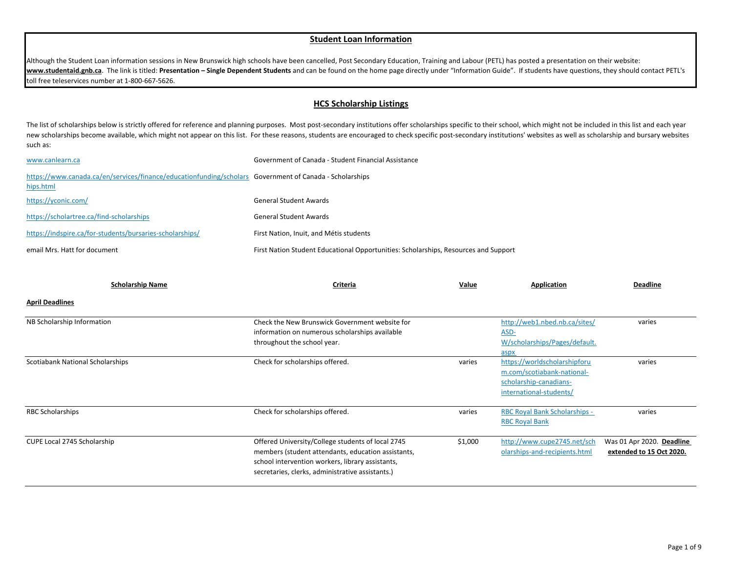## **Student Loan Information**

Although the Student Loan information sessions in New Brunswick high schools have been cancelled, Post Secondary Education, Training and Labour (PETL) has posted a presentation on their website: **www.studentaid.gnb.ca**. The link is titled: **Presentation – Single Dependent Students** and can be found on the home page directly under "Information Guide". If students have questions, they should contact PETL's toll free teleservices number at 1-800-667-5626.

## **HCS Scholarship Listings**

The list of scholarships below is strictly offered for reference and planning purposes. Most post-secondary institutions offer scholarships specific to their school, which might not be included in this list and each year new scholarships become available, which might not appear on this list. For these reasons, students are encouraged to check specific post-secondary institutions' websites as well as scholarship and bursary websites such as:

| www.canlearn.ca                                                                                                      | Government of Canada - Student Financial Assistance                                 |
|----------------------------------------------------------------------------------------------------------------------|-------------------------------------------------------------------------------------|
| https://www.canada.ca/en/services/finance/educationfunding/scholars Government of Canada - Scholarships<br>hips.html |                                                                                     |
| https://yconic.com/                                                                                                  | <b>General Student Awards</b>                                                       |
| https://scholartree.ca/find-scholarships                                                                             | <b>General Student Awards</b>                                                       |
| https://indspire.ca/for-students/bursaries-scholarships/                                                             | First Nation, Inuit, and Métis students                                             |
| email Mrs. Hatt for document                                                                                         | First Nation Student Educational Opportunities: Scholarships, Resources and Support |

| <b>Scholarship Name</b>          | Criteria                                                                                                                                                                                                        | Value   | Application                                                                                                     | <b>Deadline</b>                                       |
|----------------------------------|-----------------------------------------------------------------------------------------------------------------------------------------------------------------------------------------------------------------|---------|-----------------------------------------------------------------------------------------------------------------|-------------------------------------------------------|
| <b>April Deadlines</b>           |                                                                                                                                                                                                                 |         |                                                                                                                 |                                                       |
| NB Scholarship Information       | Check the New Brunswick Government website for<br>information on numerous scholarships available<br>throughout the school year.                                                                                 |         | http://web1.nbed.nb.ca/sites/<br>ASD-<br>W/scholarships/Pages/default.<br>aspx                                  | varies                                                |
| Scotiabank National Scholarships | Check for scholarships offered.                                                                                                                                                                                 | varies  | https://worldscholarshipforu<br>m.com/scotiabank-national-<br>scholarship-canadians-<br>international-students/ | varies                                                |
| RBC Scholarships                 | Check for scholarships offered.                                                                                                                                                                                 | varies  | <b>RBC Royal Bank Scholarships -</b><br><b>RBC Royal Bank</b>                                                   | varies                                                |
| CUPE Local 2745 Scholarship      | Offered University/College students of local 2745<br>members (student attendants, education assistants,<br>school intervention workers, library assistants,<br>secretaries, clerks, administrative assistants.) | \$1,000 | http://www.cupe2745.net/sch<br>olarships-and-recipients.html                                                    | Was 01 Apr 2020. Deadline<br>extended to 15 Oct 2020. |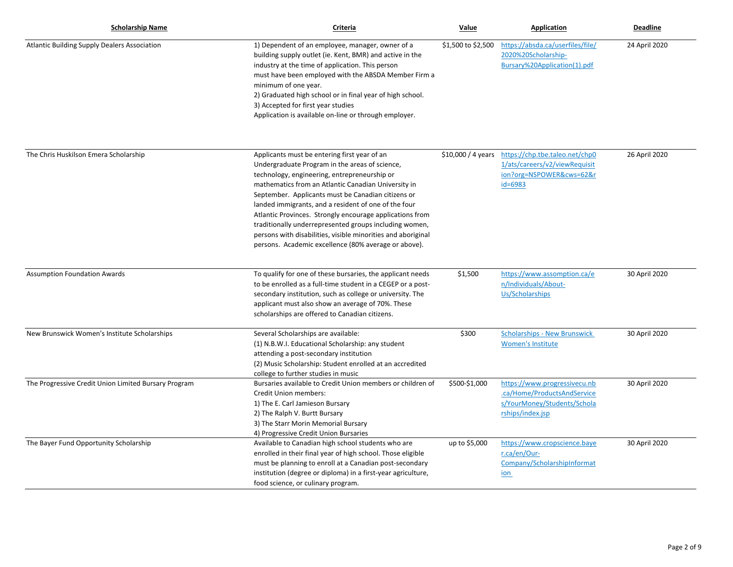| <b>Scholarship Name</b>                              | Criteria                                                                                                                                                                                                                                                                                                                                                                                                                                                                                                                                                          | Value                       | Application                                                                                                    | <b>Deadline</b> |
|------------------------------------------------------|-------------------------------------------------------------------------------------------------------------------------------------------------------------------------------------------------------------------------------------------------------------------------------------------------------------------------------------------------------------------------------------------------------------------------------------------------------------------------------------------------------------------------------------------------------------------|-----------------------------|----------------------------------------------------------------------------------------------------------------|-----------------|
| Atlantic Building Supply Dealers Association         | 1) Dependent of an employee, manager, owner of a<br>building supply outlet (ie. Kent, BMR) and active in the<br>industry at the time of application. This person<br>must have been employed with the ABSDA Member Firm a<br>minimum of one year.<br>2) Graduated high school or in final year of high school.<br>3) Accepted for first year studies<br>Application is available on-line or through employer.                                                                                                                                                      | \$1,500 to \$2,500          | https://absda.ca/userfiles/file/<br>2020%20Scholarship-<br>Bursary%20Application(1).pdf                        | 24 April 2020   |
| The Chris Huskilson Emera Scholarship                | Applicants must be entering first year of an<br>Undergraduate Program in the areas of science,<br>technology, engineering, entrepreneurship or<br>mathematics from an Atlantic Canadian University in<br>September. Applicants must be Canadian citizens or<br>landed immigrants, and a resident of one of the four<br>Atlantic Provinces. Strongly encourage applications from<br>traditionally underrepresented groups including women,<br>persons with disabilities, visible minorities and aboriginal<br>persons. Academic excellence (80% average or above). | $$10,000 / 4 \text{ years}$ | https://chp.tbe.taleo.net/chp0<br>1/ats/careers/v2/viewRequisit<br>ion?org=NSPOWER&cws=62&r<br>$id = 6983$     | 26 April 2020   |
| <b>Assumption Foundation Awards</b>                  | To qualify for one of these bursaries, the applicant needs<br>to be enrolled as a full-time student in a CEGEP or a post-<br>secondary institution, such as college or university. The<br>applicant must also show an average of 70%. These<br>scholarships are offered to Canadian citizens.                                                                                                                                                                                                                                                                     | \$1,500                     | https://www.assomption.ca/e<br>n/Individuals/About-<br>Us/Scholarships                                         | 30 April 2020   |
| New Brunswick Women's Institute Scholarships         | Several Scholarships are available:<br>(1) N.B.W.I. Educational Scholarship: any student<br>attending a post-secondary institution<br>(2) Music Scholarship: Student enrolled at an accredited<br>college to further studies in music                                                                                                                                                                                                                                                                                                                             | \$300                       | <b>Scholarships - New Brunswick</b><br><b>Women's Institute</b>                                                | 30 April 2020   |
| The Progressive Credit Union Limited Bursary Program | Bursaries available to Credit Union members or children of<br>Credit Union members:<br>1) The E. Carl Jamieson Bursary<br>2) The Ralph V. Burtt Bursary<br>3) The Starr Morin Memorial Bursary<br>4) Progressive Credit Union Bursaries                                                                                                                                                                                                                                                                                                                           | \$500-\$1,000               | https://www.progressivecu.nb<br>.ca/Home/ProductsAndService<br>s/YourMoney/Students/Schola<br>rships/index.jsp | 30 April 2020   |
| The Bayer Fund Opportunity Scholarship               | Available to Canadian high school students who are<br>enrolled in their final year of high school. Those eligible<br>must be planning to enroll at a Canadian post-secondary<br>institution (degree or diploma) in a first-year agriculture,<br>food science, or culinary program.                                                                                                                                                                                                                                                                                | up to \$5,000               | https://www.cropscience.baye<br>r.ca/en/Our-<br>Company/ScholarshipInformat<br>ion                             | 30 April 2020   |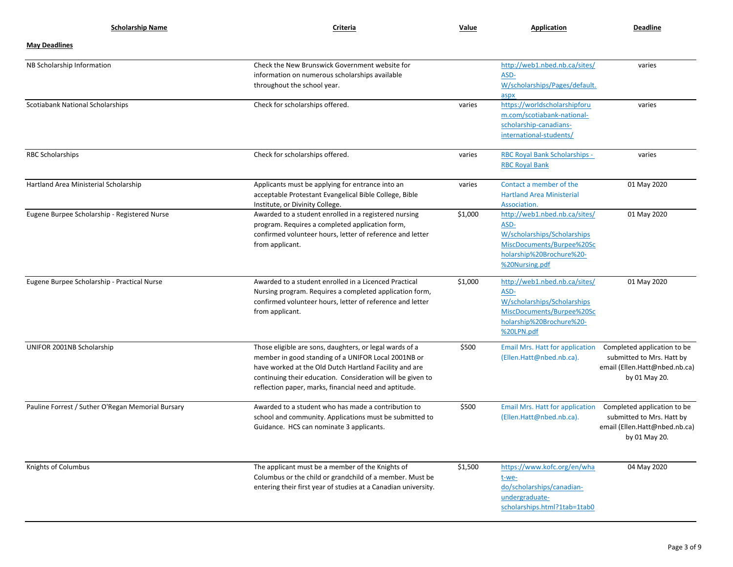| <b>Scholarship Name</b>                           | Criteria                                                                                                                                                                                                                                                                                        | Value   | Application                                                                                                                                     | <b>Deadline</b>                                                                                            |
|---------------------------------------------------|-------------------------------------------------------------------------------------------------------------------------------------------------------------------------------------------------------------------------------------------------------------------------------------------------|---------|-------------------------------------------------------------------------------------------------------------------------------------------------|------------------------------------------------------------------------------------------------------------|
| <b>May Deadlines</b>                              |                                                                                                                                                                                                                                                                                                 |         |                                                                                                                                                 |                                                                                                            |
| NB Scholarship Information                        | Check the New Brunswick Government website for<br>information on numerous scholarships available<br>throughout the school year.                                                                                                                                                                 |         | http://web1.nbed.nb.ca/sites/<br>ASD-<br>W/scholarships/Pages/default.<br>aspx                                                                  | varies                                                                                                     |
| Scotiabank National Scholarships                  | Check for scholarships offered.                                                                                                                                                                                                                                                                 | varies  | https://worldscholarshipforu<br>m.com/scotiabank-national-<br>scholarship-canadians-<br>international-students/                                 | varies                                                                                                     |
| <b>RBC Scholarships</b>                           | Check for scholarships offered.                                                                                                                                                                                                                                                                 | varies  | RBC Royal Bank Scholarships -<br><b>RBC Royal Bank</b>                                                                                          | varies                                                                                                     |
| Hartland Area Ministerial Scholarship             | Applicants must be applying for entrance into an<br>acceptable Protestant Evangelical Bible College, Bible<br>Institute, or Divinity College.                                                                                                                                                   | varies  | Contact a member of the<br><b>Hartland Area Ministerial</b><br>Association.                                                                     | 01 May 2020                                                                                                |
| Eugene Burpee Scholarship - Registered Nurse      | Awarded to a student enrolled in a registered nursing<br>program. Requires a completed application form,<br>confirmed volunteer hours, letter of reference and letter<br>from applicant.                                                                                                        | \$1,000 | http://web1.nbed.nb.ca/sites/<br>ASD-<br>W/scholarships/Scholarships<br>MiscDocuments/Burpee%20Sc<br>holarship%20Brochure%20-<br>%20Nursing.pdf | 01 May 2020                                                                                                |
| Eugene Burpee Scholarship - Practical Nurse       | Awarded to a student enrolled in a Licenced Practical<br>Nursing program. Requires a completed application form,<br>confirmed volunteer hours, letter of reference and letter<br>from applicant.                                                                                                | \$1,000 | http://web1.nbed.nb.ca/sites/<br>ASD-<br>W/scholarships/Scholarships<br>MiscDocuments/Burpee%20Sc<br>holarship%20Brochure%20-<br>%20LPN.pdf     | 01 May 2020                                                                                                |
| UNIFOR 2001NB Scholarship                         | Those eligible are sons, daughters, or legal wards of a<br>member in good standing of a UNIFOR Local 2001NB or<br>have worked at the Old Dutch Hartland Facility and are<br>continuing their education. Consideration will be given to<br>reflection paper, marks, financial need and aptitude. | \$500   | <b>Email Mrs. Hatt for application</b><br>(Ellen.Hatt@nbed.nb.ca).                                                                              | Completed application to be<br>submitted to Mrs. Hatt by<br>email (Ellen.Hatt@nbed.nb.ca)<br>by 01 May 20. |
| Pauline Forrest / Suther O'Regan Memorial Bursary | Awarded to a student who has made a contribution to<br>school and community. Applications must be submitted to<br>Guidance. HCS can nominate 3 applicants.                                                                                                                                      | \$500   | <b>Email Mrs. Hatt for application</b><br>(Ellen.Hatt@nbed.nb.ca).                                                                              | Completed application to be<br>submitted to Mrs. Hatt by<br>email (Ellen.Hatt@nbed.nb.ca)<br>by 01 May 20. |
| Knights of Columbus                               | The applicant must be a member of the Knights of<br>Columbus or the child or grandchild of a member. Must be<br>entering their first year of studies at a Canadian university.                                                                                                                  | \$1,500 | https://www.kofc.org/en/wha<br>t-we-<br>do/scholarships/canadian-<br>undergraduate-<br>scholarships.html?1tab=1tab0                             | 04 May 2020                                                                                                |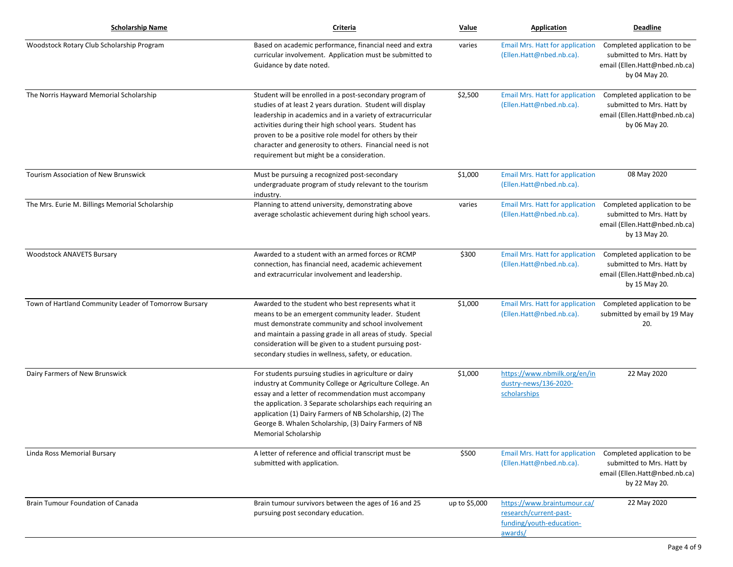| <b>Scholarship Name</b>                               | Criteria                                                                                                                                                                                                                                                                                                                                                                                                           | Value         | Application                                                                                  | <b>Deadline</b>                                                                                            |
|-------------------------------------------------------|--------------------------------------------------------------------------------------------------------------------------------------------------------------------------------------------------------------------------------------------------------------------------------------------------------------------------------------------------------------------------------------------------------------------|---------------|----------------------------------------------------------------------------------------------|------------------------------------------------------------------------------------------------------------|
| Woodstock Rotary Club Scholarship Program             | Based on academic performance, financial need and extra<br>curricular involvement. Application must be submitted to<br>Guidance by date noted.                                                                                                                                                                                                                                                                     | varies        | <b>Email Mrs. Hatt for application</b><br>(Ellen.Hatt@nbed.nb.ca).                           | Completed application to be<br>submitted to Mrs. Hatt by<br>email (Ellen.Hatt@nbed.nb.ca)<br>by 04 May 20. |
| The Norris Hayward Memorial Scholarship               | Student will be enrolled in a post-secondary program of<br>studies of at least 2 years duration. Student will display<br>leadership in academics and in a variety of extracurricular<br>activities during their high school years. Student has<br>proven to be a positive role model for others by their<br>character and generosity to others. Financial need is not<br>requirement but might be a consideration. | \$2,500       | <b>Email Mrs. Hatt for application</b><br>(Ellen.Hatt@nbed.nb.ca).                           | Completed application to be<br>submitted to Mrs. Hatt by<br>email (Ellen.Hatt@nbed.nb.ca)<br>by 06 May 20. |
| Tourism Association of New Brunswick                  | Must be pursuing a recognized post-secondary<br>undergraduate program of study relevant to the tourism<br>industry.                                                                                                                                                                                                                                                                                                | \$1,000       | <b>Email Mrs. Hatt for application</b><br>(Ellen.Hatt@nbed.nb.ca).                           | 08 May 2020                                                                                                |
| The Mrs. Eurie M. Billings Memorial Scholarship       | Planning to attend university, demonstrating above<br>average scholastic achievement during high school years.                                                                                                                                                                                                                                                                                                     | varies        | <b>Email Mrs. Hatt for application</b><br>(Ellen.Hatt@nbed.nb.ca).                           | Completed application to be<br>submitted to Mrs. Hatt by<br>email (Ellen.Hatt@nbed.nb.ca)<br>by 13 May 20. |
| <b>Woodstock ANAVETS Bursary</b>                      | Awarded to a student with an armed forces or RCMP<br>connection, has financial need, academic achievement<br>and extracurricular involvement and leadership.                                                                                                                                                                                                                                                       | \$300         | <b>Email Mrs. Hatt for application</b><br>(Ellen.Hatt@nbed.nb.ca).                           | Completed application to be<br>submitted to Mrs. Hatt by<br>email (Ellen.Hatt@nbed.nb.ca)<br>by 15 May 20. |
| Town of Hartland Community Leader of Tomorrow Bursary | Awarded to the student who best represents what it<br>means to be an emergent community leader. Student<br>must demonstrate community and school involvement<br>and maintain a passing grade in all areas of study. Special<br>consideration will be given to a student pursuing post-<br>secondary studies in wellness, safety, or education.                                                                     | \$1,000       | <b>Email Mrs. Hatt for application</b><br>(Ellen.Hatt@nbed.nb.ca).                           | Completed application to be<br>submitted by email by 19 May<br>20.                                         |
| Dairy Farmers of New Brunswick                        | For students pursuing studies in agriculture or dairy<br>industry at Community College or Agriculture College. An<br>essay and a letter of recommendation must accompany<br>the application. 3 Separate scholarships each requiring an<br>application (1) Dairy Farmers of NB Scholarship, (2) The<br>George B. Whalen Scholarship, (3) Dairy Farmers of NB<br>Memorial Scholarship                                | \$1,000       | https://www.nbmilk.org/en/in<br>dustry-news/136-2020-<br>scholarships                        | 22 May 2020                                                                                                |
| Linda Ross Memorial Bursary                           | A letter of reference and official transcript must be<br>submitted with application.                                                                                                                                                                                                                                                                                                                               | \$500         | <b>Email Mrs. Hatt for application</b><br>(Ellen.Hatt@nbed.nb.ca).                           | Completed application to be<br>submitted to Mrs. Hatt by<br>email (Ellen.Hatt@nbed.nb.ca)<br>by 22 May 20. |
| Brain Tumour Foundation of Canada                     | Brain tumour survivors between the ages of 16 and 25<br>pursuing post secondary education.                                                                                                                                                                                                                                                                                                                         | up to \$5,000 | https://www.braintumour.ca/<br>research/current-past-<br>funding/youth-education-<br>awards/ | 22 May 2020                                                                                                |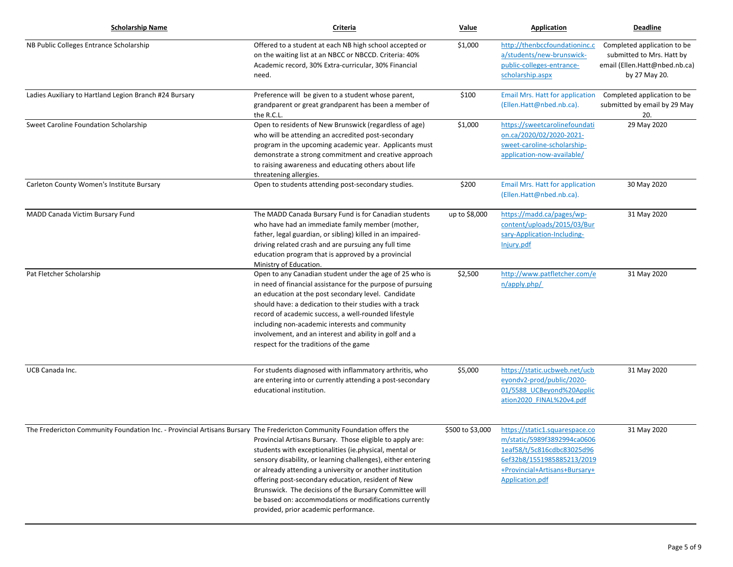| <b>Scholarship Name</b>                                                                                                 | Criteria                                                                                                                                                                                                                                                                                                                                                                                                                                                           | Value            | <b>Application</b>                                                                                                                                                            | <b>Deadline</b>                                                                                            |
|-------------------------------------------------------------------------------------------------------------------------|--------------------------------------------------------------------------------------------------------------------------------------------------------------------------------------------------------------------------------------------------------------------------------------------------------------------------------------------------------------------------------------------------------------------------------------------------------------------|------------------|-------------------------------------------------------------------------------------------------------------------------------------------------------------------------------|------------------------------------------------------------------------------------------------------------|
| NB Public Colleges Entrance Scholarship                                                                                 | Offered to a student at each NB high school accepted or<br>on the waiting list at an NBCC or NBCCD. Criteria: 40%<br>Academic record, 30% Extra-curricular, 30% Financial<br>need.                                                                                                                                                                                                                                                                                 | \$1,000          | http://thenbccfoundationinc.c<br>a/students/new-brunswick-<br>public-colleges-entrance-<br>scholarship.aspx                                                                   | Completed application to be<br>submitted to Mrs. Hatt by<br>email (Ellen.Hatt@nbed.nb.ca)<br>by 27 May 20. |
| Ladies Auxiliary to Hartland Legion Branch #24 Bursary                                                                  | Preference will be given to a student whose parent,<br>grandparent or great grandparent has been a member of<br>the R.C.L.                                                                                                                                                                                                                                                                                                                                         | \$100            | <b>Email Mrs. Hatt for application</b><br>(Ellen.Hatt@nbed.nb.ca).                                                                                                            | Completed application to be<br>submitted by email by 29 May<br>20.                                         |
| Sweet Caroline Foundation Scholarship                                                                                   | Open to residents of New Brunswick (regardless of age)<br>who will be attending an accredited post-secondary<br>program in the upcoming academic year. Applicants must<br>demonstrate a strong commitment and creative approach<br>to raising awareness and educating others about life<br>threatening allergies.                                                                                                                                                  | \$1,000          | https://sweetcarolinefoundati<br>on.ca/2020/02/2020-2021-<br>sweet-caroline-scholarship-<br>application-now-available/                                                        | 29 May 2020                                                                                                |
| Carleton County Women's Institute Bursary                                                                               | Open to students attending post-secondary studies.                                                                                                                                                                                                                                                                                                                                                                                                                 | \$200            | <b>Email Mrs. Hatt for application</b><br>(Ellen.Hatt@nbed.nb.ca).                                                                                                            | 30 May 2020                                                                                                |
| MADD Canada Victim Bursary Fund                                                                                         | The MADD Canada Bursary Fund is for Canadian students<br>who have had an immediate family member (mother,<br>father, legal guardian, or sibling) killed in an impaired-<br>driving related crash and are pursuing any full time<br>education program that is approved by a provincial<br>Ministry of Education.                                                                                                                                                    | up to \$8,000    | https://madd.ca/pages/wp-<br>content/uploads/2015/03/Bur<br>sary-Application-Including-<br>Injury.pdf                                                                         | 31 May 2020                                                                                                |
| Pat Fletcher Scholarship                                                                                                | Open to any Canadian student under the age of 25 who is<br>in need of financial assistance for the purpose of pursuing<br>an education at the post secondary level. Candidate<br>should have: a dedication to their studies with a track<br>record of academic success, a well-rounded lifestyle<br>including non-academic interests and community<br>involvement, and an interest and ability in golf and a<br>respect for the traditions of the game             | \$2,500          | http://www.patfletcher.com/e<br>n/apply.php/                                                                                                                                  | 31 May 2020                                                                                                |
| UCB Canada Inc.                                                                                                         | For students diagnosed with inflammatory arthritis, who<br>are entering into or currently attending a post-secondary<br>educational institution.                                                                                                                                                                                                                                                                                                                   | \$5,000          | https://static.ucbweb.net/ucb<br>eyondv2-prod/public/2020-<br>01/5588 UCBeyond%20Applic<br>ation2020 FINAL%20v4.pdf                                                           | 31 May 2020                                                                                                |
| The Fredericton Community Foundation Inc. - Provincial Artisans Bursary The Fredericton Community Foundation offers the | Provincial Artisans Bursary. Those eligible to apply are:<br>students with exceptionalities (ie.physical, mental or<br>sensory disability, or learning challenges), either entering<br>or already attending a university or another institution<br>offering post-secondary education, resident of New<br>Brunswick. The decisions of the Bursary Committee will<br>be based on: accommodations or modifications currently<br>provided, prior academic performance. | \$500 to \$3,000 | https://static1.squarespace.co<br>m/static/5989f3892994ca0606<br>1eaf58/t/5c816cdbc83025d96<br>6ef32b8/1551985885213/2019<br>+Provincial+Artisans+Bursary+<br>Application.pdf | 31 May 2020                                                                                                |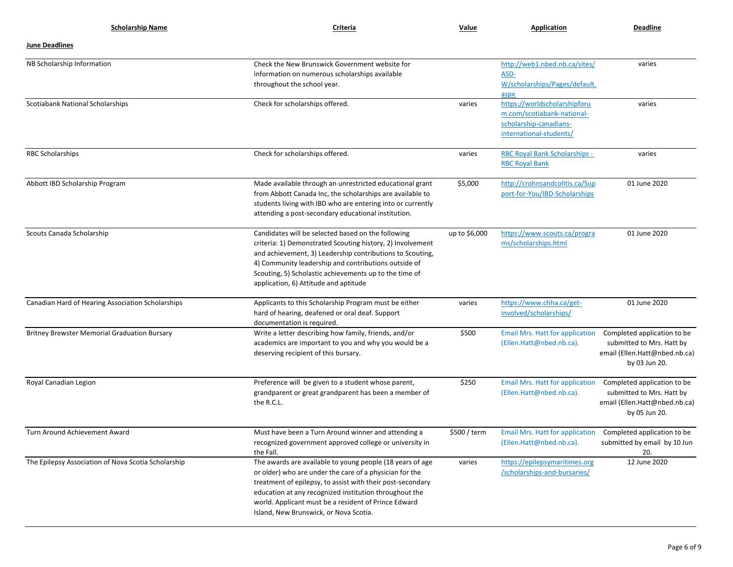| <b>Scholarship Name</b>                             | Criteria                                                                                                                                                                                                                                                                                                                                       | Value         | Application                                                                                                     | <b>Deadline</b>                                                                                            |
|-----------------------------------------------------|------------------------------------------------------------------------------------------------------------------------------------------------------------------------------------------------------------------------------------------------------------------------------------------------------------------------------------------------|---------------|-----------------------------------------------------------------------------------------------------------------|------------------------------------------------------------------------------------------------------------|
| <b>June Deadlines</b>                               |                                                                                                                                                                                                                                                                                                                                                |               |                                                                                                                 |                                                                                                            |
| NB Scholarship Information                          | Check the New Brunswick Government website for<br>information on numerous scholarships available<br>throughout the school year.                                                                                                                                                                                                                |               | http://web1.nbed.nb.ca/sites/<br>ASD-<br>W/scholarships/Pages/default.<br>aspx                                  | varies                                                                                                     |
| Scotiabank National Scholarships                    | Check for scholarships offered.                                                                                                                                                                                                                                                                                                                | varies        | https://worldscholarshipforu<br>m.com/scotiabank-national-<br>scholarship-canadians-<br>international-students/ | varies                                                                                                     |
| <b>RBC Scholarships</b>                             | Check for scholarships offered.                                                                                                                                                                                                                                                                                                                | varies        | RBC Royal Bank Scholarships -<br><b>RBC Royal Bank</b>                                                          | varies                                                                                                     |
| Abbott IBD Scholarship Program                      | Made available through an unrestricted educational grant<br>from Abbott Canada Inc, the scholarships are available to<br>students living with IBD who are entering into or currently<br>attending a post-secondary educational institution.                                                                                                    | \$5,000       | http://crohnsandcolitis.ca/Sup<br>port-for-You/IBD-Scholarships                                                 | 01 June 2020                                                                                               |
| Scouts Canada Scholarship                           | Candidates will be selected based on the following<br>criteria: 1) Demonstrated Scouting history, 2) Involvement<br>and achievement, 3) Leadership contributions to Scouting,<br>4) Community leadership and contributions outside of<br>Scouting, 5) Scholastic achievements up to the time of<br>application, 6) Attitude and aptitude       | up to \$6,000 | https://www.scouts.ca/progra<br>ms/scholarships.html                                                            | 01 June 2020                                                                                               |
| Canadian Hard of Hearing Association Scholarships   | Applicants to this Scholarship Program must be either<br>hard of hearing, deafened or oral deaf. Support<br>documentation is required.                                                                                                                                                                                                         | varies        | https://www.chha.ca/get-<br>involved/scholarships/                                                              | 01 June 2020                                                                                               |
| <b>Britney Brewster Memorial Graduation Bursary</b> | Write a letter describing how family, friends, and/or<br>academics are important to you and why you would be a<br>deserving recipient of this bursary.                                                                                                                                                                                         | \$500         | <b>Email Mrs. Hatt for application</b><br>(Ellen.Hatt@nbed.nb.ca).                                              | Completed application to be<br>submitted to Mrs. Hatt by<br>email (Ellen.Hatt@nbed.nb.ca)<br>by 03 Jun 20. |
| Royal Canadian Legion                               | Preference will be given to a student whose parent,<br>grandparent or great grandparent has been a member of<br>the R.C.L.                                                                                                                                                                                                                     | \$250         | <b>Email Mrs. Hatt for application</b><br>(Ellen.Hatt@nbed.nb.ca).                                              | Completed application to be<br>submitted to Mrs. Hatt by<br>email (Ellen.Hatt@nbed.nb.ca)<br>by 05 Jun 20. |
| Turn Around Achievement Award                       | Must have been a Turn Around winner and attending a<br>recognized government approved college or university in<br>the Fall.                                                                                                                                                                                                                    | \$500 / term  | Email Mrs. Hatt for application Completed application to be<br>(Ellen.Hatt@nbed.nb.ca).                         | submitted by email by 10 Jun<br>20.                                                                        |
| The Epilepsy Association of Nova Scotia Scholarship | The awards are available to young people (18 years of age<br>or older) who are under the care of a physician for the<br>treatment of epilepsy, to assist with their post-secondary<br>education at any recognized institution throughout the<br>world. Applicant must be a resident of Prince Edward<br>Island, New Brunswick, or Nova Scotia. | varies        | https://epilepsymaritimes.org<br>/scholarships-and-bursaries/                                                   | 12 June 2020                                                                                               |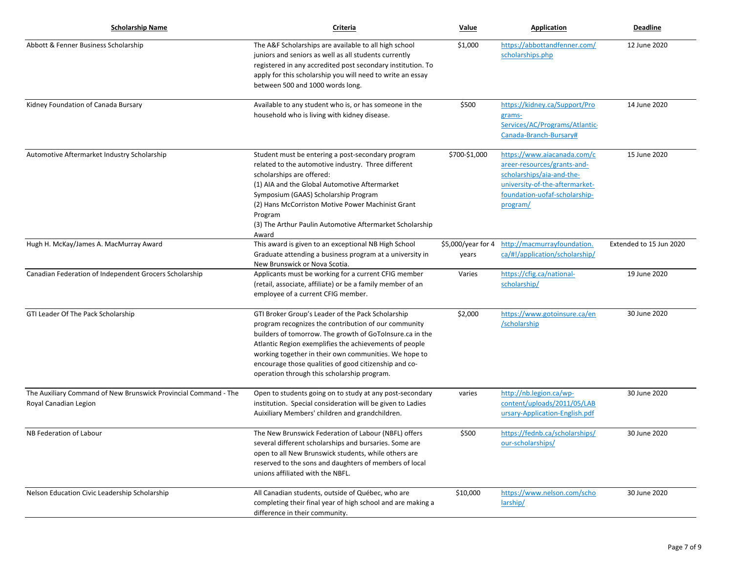| <b>Scholarship Name</b>                                                                  | Criteria                                                                                                                                                                                                                                                                                                                                                                                         | Value                       | <b>Application</b>                                                                                                                                                     | <b>Deadline</b>         |
|------------------------------------------------------------------------------------------|--------------------------------------------------------------------------------------------------------------------------------------------------------------------------------------------------------------------------------------------------------------------------------------------------------------------------------------------------------------------------------------------------|-----------------------------|------------------------------------------------------------------------------------------------------------------------------------------------------------------------|-------------------------|
| Abbott & Fenner Business Scholarship                                                     | The A&F Scholarships are available to all high school<br>juniors and seniors as well as all students currently<br>registered in any accredited post secondary institution. To<br>apply for this scholarship you will need to write an essay<br>between 500 and 1000 words long.                                                                                                                  | \$1,000                     | https://abbottandfenner.com/<br>scholarships.php                                                                                                                       | 12 June 2020            |
| Kidney Foundation of Canada Bursary                                                      | Available to any student who is, or has someone in the<br>household who is living with kidney disease.                                                                                                                                                                                                                                                                                           | \$500                       | https://kidney.ca/Support/Pro<br>grams-<br>Services/AC/Programs/Atlantic-<br>Canada-Branch-Bursary#                                                                    | 14 June 2020            |
| Automotive Aftermarket Industry Scholarship                                              | Student must be entering a post-secondary program<br>related to the automotive industry. Three different<br>scholarships are offered:<br>(1) AIA and the Global Automotive Aftermarket<br>Symposium (GAAS) Scholarship Program<br>(2) Hans McCorriston Motive Power Machinist Grant<br>Program<br>(3) The Arthur Paulin Automotive Aftermarket Scholarship<br>Award                              | \$700-\$1,000               | https://www.aiacanada.com/c<br>areer-resources/grants-and-<br>scholarships/aia-and-the-<br>university-of-the-aftermarket-<br>foundation-uofaf-scholarship-<br>program/ | 15 June 2020            |
| Hugh H. McKay/James A. MacMurray Award                                                   | This award is given to an exceptional NB High School<br>Graduate attending a business program at a university in<br>New Brunswick or Nova Scotia.                                                                                                                                                                                                                                                | \$5,000/year for 4<br>years | http://macmurrayfoundation.<br>ca/#!/application/scholarship/                                                                                                          | Extended to 15 Jun 2020 |
| Canadian Federation of Independent Grocers Scholarship                                   | Applicants must be working for a current CFIG member<br>(retail, associate, affiliate) or be a family member of an<br>employee of a current CFIG member.                                                                                                                                                                                                                                         | Varies                      | https://cfig.ca/national-<br>scholarship/                                                                                                                              | 19 June 2020            |
| GTI Leader Of The Pack Scholarship                                                       | GTI Broker Group's Leader of the Pack Scholarship<br>program recognizes the contribution of our community<br>builders of tomorrow. The growth of GoToInsure.ca in the<br>Atlantic Region exemplifies the achievements of people<br>working together in their own communities. We hope to<br>encourage those qualities of good citizenship and co-<br>operation through this scholarship program. | \$2,000                     | https://www.gotoinsure.ca/en<br>/scholarship                                                                                                                           | 30 June 2020            |
| The Auxiliary Command of New Brunswick Provincial Command - The<br>Royal Canadian Legion | Open to students going on to study at any post-secondary<br>institution. Special consideration will be given to Ladies<br>Auixiliary Members' children and grandchildren.                                                                                                                                                                                                                        | varies                      | http://nb.legion.ca/wp-<br>content/uploads/2011/05/LAB<br>ursary-Application-English.pdf                                                                               | 30 June 2020            |
| NB Federation of Labour                                                                  | The New Brunswick Federation of Labour (NBFL) offers<br>several different scholarships and bursaries. Some are<br>open to all New Brunswick students, while others are<br>reserved to the sons and daughters of members of local<br>unions affiliated with the NBFL.                                                                                                                             | \$500                       | https://fednb.ca/scholarships/<br>our-scholarships/                                                                                                                    | 30 June 2020            |
| Nelson Education Civic Leadership Scholarship                                            | All Canadian students, outside of Québec, who are<br>completing their final year of high school and are making a<br>difference in their community.                                                                                                                                                                                                                                               | \$10,000                    | https://www.nelson.com/scho<br>larship/                                                                                                                                | 30 June 2020            |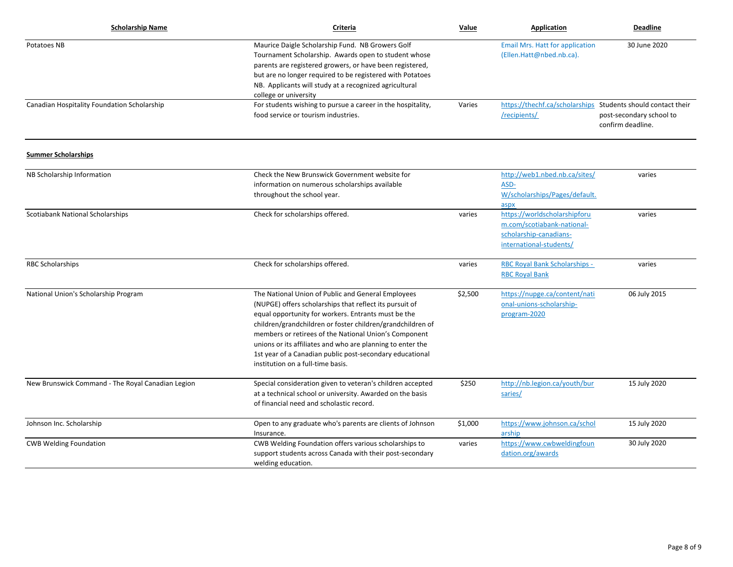| <b>Scholarship Name</b>                           | Criteria                                                                                                                                                                                                                                                                                                                                                                                                                                                   | Value   | Application                                                                                                     | <b>Deadline</b>                                                                                               |
|---------------------------------------------------|------------------------------------------------------------------------------------------------------------------------------------------------------------------------------------------------------------------------------------------------------------------------------------------------------------------------------------------------------------------------------------------------------------------------------------------------------------|---------|-----------------------------------------------------------------------------------------------------------------|---------------------------------------------------------------------------------------------------------------|
| Potatoes NB                                       | Maurice Daigle Scholarship Fund. NB Growers Golf<br>Tournament Scholarship. Awards open to student whose<br>parents are registered growers, or have been registered,<br>but are no longer required to be registered with Potatoes<br>NB. Applicants will study at a recognized agricultural<br>college or university                                                                                                                                       |         | <b>Email Mrs. Hatt for application</b><br>(Ellen.Hatt@nbed.nb.ca).                                              | 30 June 2020                                                                                                  |
| Canadian Hospitality Foundation Scholarship       | For students wishing to pursue a career in the hospitality,<br>food service or tourism industries.                                                                                                                                                                                                                                                                                                                                                         | Varies  | /recipients/                                                                                                    | https://thechf.ca/scholarships Students should contact their<br>post-secondary school to<br>confirm deadline. |
| <b>Summer Scholarships</b>                        |                                                                                                                                                                                                                                                                                                                                                                                                                                                            |         |                                                                                                                 |                                                                                                               |
| NB Scholarship Information                        | Check the New Brunswick Government website for<br>information on numerous scholarships available<br>throughout the school year.                                                                                                                                                                                                                                                                                                                            |         | http://web1.nbed.nb.ca/sites/<br>ASD-<br>W/scholarships/Pages/default.<br>aspx                                  | varies                                                                                                        |
| Scotiabank National Scholarships                  | Check for scholarships offered.                                                                                                                                                                                                                                                                                                                                                                                                                            | varies  | https://worldscholarshipforu<br>m.com/scotiabank-national-<br>scholarship-canadians-<br>international-students/ | varies                                                                                                        |
| <b>RBC Scholarships</b>                           | Check for scholarships offered.                                                                                                                                                                                                                                                                                                                                                                                                                            | varies  | RBC Royal Bank Scholarships -<br><b>RBC Royal Bank</b>                                                          | varies                                                                                                        |
| National Union's Scholarship Program              | The National Union of Public and General Employees<br>(NUPGE) offers scholarships that reflect its pursuit of<br>equal opportunity for workers. Entrants must be the<br>children/grandchildren or foster children/grandchildren of<br>members or retirees of the National Union's Component<br>unions or its affiliates and who are planning to enter the<br>1st year of a Canadian public post-secondary educational<br>institution on a full-time basis. | \$2,500 | https://nupge.ca/content/nati<br>onal-unions-scholarship-<br>program-2020                                       | 06 July 2015                                                                                                  |
| New Brunswick Command - The Royal Canadian Legion | Special consideration given to veteran's children accepted<br>at a technical school or university. Awarded on the basis<br>of financial need and scholastic record.                                                                                                                                                                                                                                                                                        | \$250   | http://nb.legion.ca/youth/bur<br>saries/                                                                        | 15 July 2020                                                                                                  |
| Johnson Inc. Scholarship                          | Open to any graduate who's parents are clients of Johnson<br>Insurance.                                                                                                                                                                                                                                                                                                                                                                                    | \$1,000 | https://www.johnson.ca/schol<br>arship                                                                          | 15 July 2020                                                                                                  |
| <b>CWB Welding Foundation</b>                     | CWB Welding Foundation offers various scholarships to<br>support students across Canada with their post-secondary<br>welding education.                                                                                                                                                                                                                                                                                                                    | varies  | https://www.cwbweldingfoun<br>dation.org/awards                                                                 | 30 July 2020                                                                                                  |